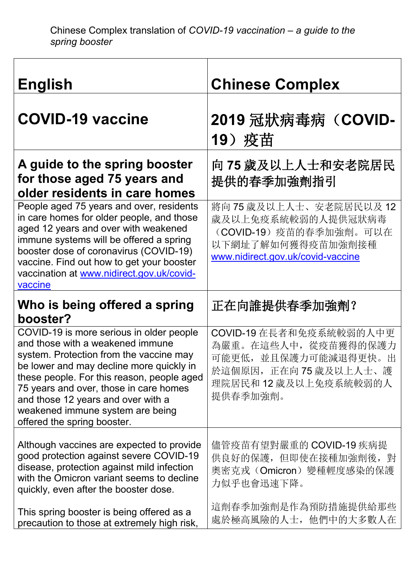| <b>English</b>                                                                                                                                                                                                                                                                                                                                                       | <b>Chinese Complex</b>                                                                                                            |
|----------------------------------------------------------------------------------------------------------------------------------------------------------------------------------------------------------------------------------------------------------------------------------------------------------------------------------------------------------------------|-----------------------------------------------------------------------------------------------------------------------------------|
| <b>COVID-19 vaccine</b>                                                                                                                                                                                                                                                                                                                                              | 2019 冠狀病毒病 (COVID-<br>19) 疫苗                                                                                                      |
| A guide to the spring booster<br>for those aged 75 years and<br>older residents in care homes                                                                                                                                                                                                                                                                        | 向 75 歲及以上人士和安老院居民<br>提供的春季加強劑指引                                                                                                   |
| People aged 75 years and over, residents<br>in care homes for older people, and those<br>aged 12 years and over with weakened<br>immune systems will be offered a spring<br>booster dose of coronavirus (COVID-19)<br>vaccine. Find out how to get your booster<br>vaccination at www.nidirect.gov.uk/covid-<br>vaccine                                              | 將向75歲及以上人士、安老院居民以及12<br>歲及以上免疫系統較弱的人提供冠狀病毒<br>(COVID-19)疫苗的春季加強劑。可以在<br>以下網址了解如何獲得疫苗加強劑接種<br>www.nidirect.gov.uk/covid-vaccine    |
| Who is being offered a spring                                                                                                                                                                                                                                                                                                                                        |                                                                                                                                   |
| booster?                                                                                                                                                                                                                                                                                                                                                             | 正在向誰提供春季加強劑?                                                                                                                      |
| COVID-19 is more serious in older people<br>and those with a weakened immune<br>system. Protection from the vaccine may<br>be lower and may decline more quickly in<br>these people. For this reason, people aged<br>75 years and over, those in care homes<br>and those 12 years and over with a<br>weakened immune system are being<br>offered the spring booster. | COVID-19 在長者和免疫系統較弱的人中更<br>為嚴重。在這些人中, 從疫苗獲得的保護力<br>可能更低,並且保護力可能減退得更快。出<br>於這個原因,正在向75歲及以上人士、護<br>理院居民和12 歲及以上免疫系統較弱的人<br>提供春季加強劑。 |
| Although vaccines are expected to provide<br>good protection against severe COVID-19<br>disease, protection against mild infection<br>with the Omicron variant seems to decline<br>quickly, even after the booster dose.                                                                                                                                             | 儘管疫苗有望對嚴重的 COVID-19 疾病提<br>供良好的保護,但即使在接種加強劑後,對<br>奧密克戎(Omicron)變種輕度感染的保護<br>力似乎也會迅速下降。                                            |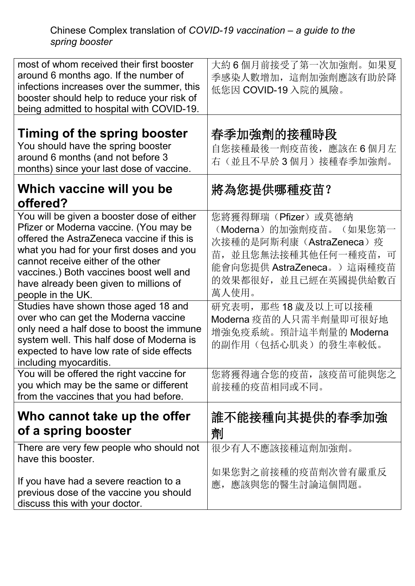## Chinese Complex translation of *COVID-19 vaccination – a guide to the spring booster*

| most of whom received their first booster<br>around 6 months ago. If the number of<br>infections increases over the summer, this<br>booster should help to reduce your risk of<br>being admitted to hospital with COVID-19.                                                                                                     | 大約6個月前接受了第一次加強劑。如果夏<br>季感染人數增加, 這劑加強劑應該有助於降<br>低您因 COVID-19 入院的風險。                                                                                                   |
|---------------------------------------------------------------------------------------------------------------------------------------------------------------------------------------------------------------------------------------------------------------------------------------------------------------------------------|----------------------------------------------------------------------------------------------------------------------------------------------------------------------|
| Timing of the spring booster<br>You should have the spring booster<br>around 6 months (and not before 3<br>months) since your last dose of vaccine.                                                                                                                                                                             | 春季加強劑的接種時段<br>自您接種最後一劑疫苗後, 應該在6個月左<br>右(並且不早於3個月)接種春季加強劑。                                                                                                            |
| Which vaccine will you be<br>offered?                                                                                                                                                                                                                                                                                           | 將為您提供哪種疫苗?                                                                                                                                                           |
| You will be given a booster dose of either<br>Pfizer or Moderna vaccine. (You may be<br>offered the AstraZeneca vaccine if this is<br>what you had for your first doses and you<br>cannot receive either of the other<br>vaccines.) Both vaccines boost well and<br>have already been given to millions of<br>people in the UK. | 您將獲得輝瑞(Pfizer)或莫德納<br>(Moderna) 的加強劑疫苗。<br>(如果您第一<br>次接種的是阿斯利康(AstraZeneca)疫<br>苗,並且您無法接種其他任何一種疫苗,<br>可<br>能會向您提供 AstraZeneca。)這兩種疫苗<br>的效果都很好,並且已經在英國提供給數百<br>萬人使用。 |
| Studies have shown those aged 18 and<br>over who can get the Moderna vaccine<br>only need a half dose to boost the immune<br>system well. This half dose of Moderna is<br>expected to have low rate of side effects<br>including myocarditis.                                                                                   | 研究表明, 那些18歲及以上可以接種<br>Moderna 疫苗的人只需半劑量即可很好地<br>增強免疫系統。預計這半劑量的 Moderna<br>的副作用(包括心肌炎)的發生率較低。                                                                         |
| You will be offered the right vaccine for<br>you which may be the same or different<br>from the vaccines that you had before.                                                                                                                                                                                                   | 您將獲得適合您的疫苗,該疫苗可能與您之<br>前接種的疫苗相同或不同。                                                                                                                                  |
| Who cannot take up the offer<br>of a spring booster                                                                                                                                                                                                                                                                             | 誰不能接種向其提供的春季加強<br>劑                                                                                                                                                  |
| There are very few people who should not<br>have this booster.                                                                                                                                                                                                                                                                  | 很少有人不應該接種這劑加強劑。<br>如果您對之前接種的疫苗劑次曾有嚴重反                                                                                                                                |
| If you have had a severe reaction to a<br>previous dose of the vaccine you should<br>discuss this with your doctor.                                                                                                                                                                                                             | 應,應該與您的醫生討論這個問題。                                                                                                                                                     |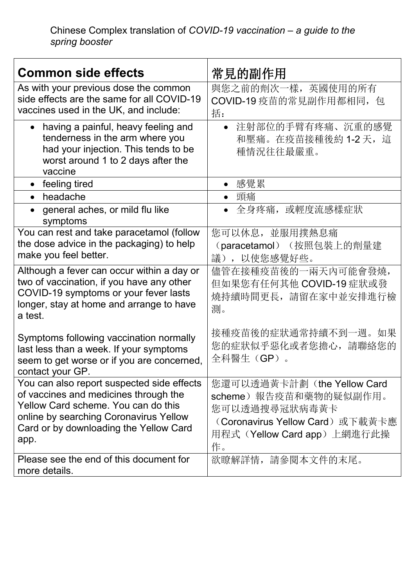| <b>Common side effects</b>                                                                                                                                                                                             | 常見的副作用                                                                                                                                      |
|------------------------------------------------------------------------------------------------------------------------------------------------------------------------------------------------------------------------|---------------------------------------------------------------------------------------------------------------------------------------------|
| As with your previous dose the common<br>side effects are the same for all COVID-19<br>vaccines used in the UK, and include:                                                                                           | 與您之前的劑次一樣,英國使用的所有<br>COVID-19 疫苗的常見副作用都相同, 包<br>括:                                                                                          |
| having a painful, heavy feeling and<br>$\bullet$<br>tenderness in the arm where you<br>had your injection. This tends to be<br>worst around 1 to 2 days after the<br>vaccine                                           | 注射部位的手臂有疼痛、沉重的感覺<br>$\bullet$<br>和壓痛。在疫苗接種後約 1-2 天, 這<br>種情況往往最嚴重。                                                                          |
| feeling tired                                                                                                                                                                                                          | 感覺累                                                                                                                                         |
| headache                                                                                                                                                                                                               | 頭痛                                                                                                                                          |
| general aches, or mild flu like<br>$\bullet$<br>symptoms                                                                                                                                                               | 全身疼痛, 或輕度流感樣症狀                                                                                                                              |
| You can rest and take paracetamol (follow<br>the dose advice in the packaging) to help<br>make you feel better.                                                                                                        | 您可以休息, 並服用撲熱息痛<br>(paracetamol) (按照包裝上的劑量建<br>議),以使您感覺好些。                                                                                   |
| Although a fever can occur within a day or<br>two of vaccination, if you have any other<br>COVID-19 symptoms or your fever lasts<br>longer, stay at home and arrange to have<br>a test.                                | 儘管在接種疫苗後的一兩天內可能會發燒,<br>但如果您有任何其他 COVID-19 症狀或發<br>燒持續時間更長, 請留在家中並安排進行檢<br>測。                                                                |
| Symptoms following vaccination normally<br>last less than a week. If your symptoms<br>seem to get worse or if you are concerned,<br>contact your GP.                                                                   | 接種疫苗後的症狀通常持續不到一週。如果<br>您的症狀似乎惡化或者您擔心,請聯絡您的<br>全科醫生(GP)。                                                                                     |
| You can also report suspected side effects<br>of vaccines and medicines through the<br>Yellow Card scheme. You can do this<br>online by searching Coronavirus Yellow<br>Card or by downloading the Yellow Card<br>app. | 您還可以透過黃卡計劃(the Yellow Card<br>scheme)報告疫苗和藥物的疑似副作用。<br>您可以透過搜尋冠狀病毒黃卡<br>(Coronavirus Yellow Card)或下載黃卡應<br>用程式(Yellow Card app)上網進行此操<br>作。 |
| Please see the end of this document for<br>more details.                                                                                                                                                               | 欲瞭解詳情,請參閱本文件的末尾。                                                                                                                            |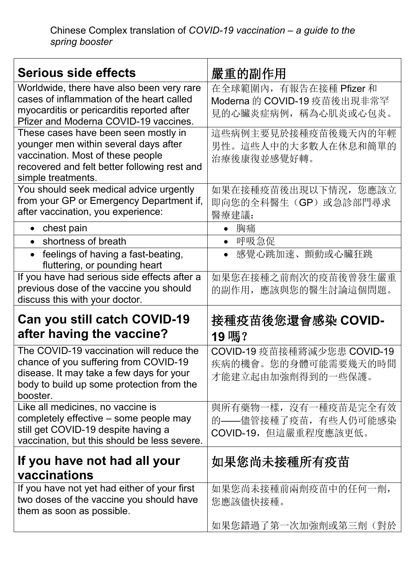| <b>Serious side effects</b>                                                 | 嚴重的副作用                      |
|-----------------------------------------------------------------------------|-----------------------------|
| Worldwide, there have also been very rare                                   | 在全球範圍內, 有報告在接種 Pfizer 和     |
| cases of inflammation of the heart called                                   | Moderna 的 COVID-19 疫苗後出現非常罕 |
| myocarditis or pericarditis reported after                                  | 見的心臟炎症病例,稱為心肌炎或心包炎。         |
| Pfizer and Moderna COVID-19 vaccines.                                       |                             |
| These cases have been seen mostly in                                        | 這些病例主要見於接種疫苗後幾天內的年輕         |
| younger men within several days after                                       | 男性。這些人中的大多數人在休息和簡單的         |
| vaccination. Most of these people                                           | 治療後康復並感覺好轉。                 |
| recovered and felt better following rest and<br>simple treatments.          |                             |
| You should seek medical advice urgently                                     | 如果在接種疫苗後出現以下情況,您應該立         |
| from your GP or Emergency Department if,                                    | 即向您的全科醫生(GP)或急診部門尋求         |
| after vaccination, you experience:                                          | 醫療建議:                       |
| • chest pain                                                                | 胸痛<br>$\bullet$             |
| shortness of breath                                                         | • 呼吸急促                      |
| • feelings of having a fast-beating,                                        | 感覺心跳加速、顫動或心臟狂跳<br>$\bullet$ |
| fluttering, or pounding heart                                               |                             |
| If you have had serious side effects after a                                | 如果您在接種之前劑次的疫苗後曾發生嚴重         |
| previous dose of the vaccine you should                                     | 的副作用,應該與您的醫生討論這個問題。         |
| discuss this with your doctor.                                              |                             |
| Can you still catch COVID-19                                                | 接種疫苗後您還會感染 COVID-           |
| after having the vaccine?                                                   | 19嗎?                        |
| The COVID-19 vaccination will reduce the                                    | COVID-19 疫苗接種將減少您患 COVID-19 |
| chance of you suffering from COVID-19                                       | 疾病的機會。您的身體可能需要幾天的時間         |
| disease. It may take a few days for your                                    | 才能建立起由加強劑得到的一些保護。           |
| body to build up some protection from the                                   |                             |
| booster.                                                                    |                             |
| Like all medicines, no vaccine is<br>completely effective – some people may | 與所有藥物一樣,沒有一種疫苗是完全有效         |
| still get COVID-19 despite having a                                         | 的 -- 儘管接種了疫苗, 有些人仍可能感染      |
| vaccination, but this should be less severe.                                | COVID-19,但這嚴重程度應該更低。        |
|                                                                             |                             |
| If you have not had all your<br>vaccinations                                | 如果您尚未接種所有疫苗                 |
| If you have not yet had either of your first                                | 如果您尚未接種前兩劑疫苗中的任何一劑,         |
| two doses of the vaccine you should have                                    |                             |
| them as soon as possible.                                                   | 您應該儘快接種。                    |
|                                                                             | 如果您錯過了第一次加強劑或第三劑(對於         |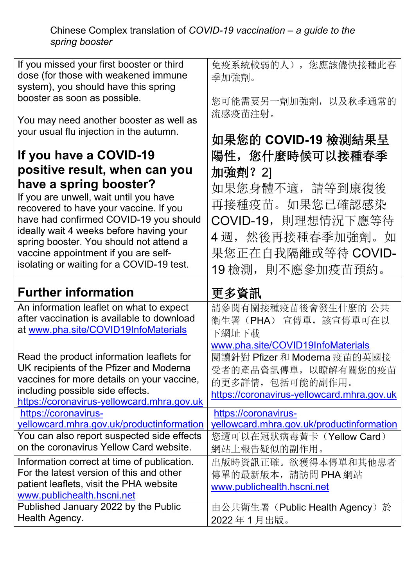Chinese Complex translation of *COVID-19 vaccination – a guide to the spring booster*

| If you missed your first booster or third<br>dose (for those with weakened immune<br>system), you should have this spring | 免疫系統較弱的人), 您應該儘快接種此春<br>季加強劑。                 |
|---------------------------------------------------------------------------------------------------------------------------|-----------------------------------------------|
| booster as soon as possible.<br>You may need another booster as well as                                                   | 您可能需要另一劑加強劑, 以及秋季通常的<br>流感疫苗注射。               |
| your usual flu injection in the autumn.                                                                                   | 如果您的 COVID-19 檢測結果呈                           |
| If you have a COVID-19                                                                                                    | 陽性,您什麼時候可以接種春季                                |
| positive result, when can you                                                                                             | 加強劑? 21                                       |
| have a spring booster?<br>If you are unwell, wait until you have                                                          | 如果您身體不適,請等到康復後<br>再接種疫苗。如果您已確認感染              |
| recovered to have your vaccine. If you                                                                                    |                                               |
| have had confirmed COVID-19 you should<br>ideally wait 4 weeks before having your                                         | COVID-19,則理想情況下應等待                            |
| spring booster. You should not attend a                                                                                   | 4週,然後再接種春季加強劑。如                               |
| vaccine appointment if you are self-                                                                                      | 果您正在自我隔離或等待 COVID-                            |
| isolating or waiting for a COVID-19 test.                                                                                 | 19檢測, 則不應參加疫苗預約。                              |
|                                                                                                                           |                                               |
| <b>Further information</b>                                                                                                | 更多資訊                                          |
| An information leaflet on what to expect                                                                                  | 請參閱有關接種疫苗後會發生什麼的 公共                           |
| after vaccination is available to download                                                                                | 衛生署(PHA) 宣傳單,該宣傳單可在以                          |
| at www.pha.site/COVID19InfoMaterials                                                                                      | 下網址下載                                         |
|                                                                                                                           | www.pha.site/COVID19InfoMaterials             |
| Read the product information leaflets for                                                                                 | 閲讀針對 Pfizer 和 Moderna 疫苗的英國接                  |
| UK recipients of the Pfizer and Moderna                                                                                   | 受者的產品資訊傳單,以瞭解有關您的疫苗                           |
| vaccines for more details on your vaccine,                                                                                | 的更多詳情,包括可能的副作用。                               |
| including possible side effects.                                                                                          | https://coronavirus-yellowcard.mhra.gov.uk    |
| https://coronavirus-yellowcard.mhra.gov.uk<br>https://coronavirus-                                                        | https://coronavirus-                          |
| yellowcard.mhra.gov.uk/productinformation                                                                                 | yellowcard.mhra.gov.uk/productinformation     |
| You can also report suspected side effects                                                                                | 您還可以在冠狀病毒黃卡 (Yellow Card)                     |
| on the coronavirus Yellow Card website.                                                                                   | 網站上報告疑似的副作用。                                  |
| Information correct at time of publication.                                                                               | 出版時資訊正確。欲獲得本傳單和其他患者                           |
| For the latest version of this and other                                                                                  | 傳單的最新版本,請訪問 PHA 網站                            |
| patient leaflets, visit the PHA website                                                                                   | www.publichealth.hscni.net                    |
| www.publichealth.hscni.net                                                                                                |                                               |
| Published January 2022 by the Public<br>Health Agency.                                                                    | 由公共衛生署 (Public Health Agency) 於<br>2022年1月出版。 |